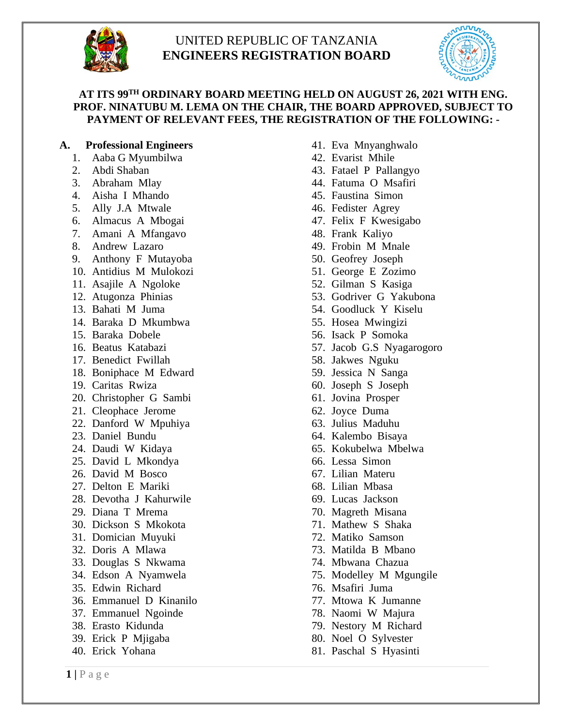

# UNITED REPUBLIC OF TANZANIA **ENGINEERS REGISTRATION BOARD**



# **AT ITS 99 TH ORDINARY BOARD MEETING HELD ON AUGUST 26, 2021 WITH ENG. PROF. NINATUBU M. LEMA ON THE CHAIR, THE BOARD APPROVED, SUBJECT TO PAYMENT OF RELEVANT FEES, THE REGISTRATION OF THE FOLLOWING: -**

#### **A. Professional Engineers**

- 1. Aaba G Myumbilwa
- 2. Abdi Shaban
- 3. Abraham Mlay
- 4. Aisha I Mhando
- 5. Ally J.A Mtwale
- 6. Almacus A Mbogai
- 7. Amani A Mfangavo
- 8. Andrew Lazaro
- 9. Anthony F Mutayoba
- 10. Antidius M Mulokozi
- 11. Asajile A Ngoloke
- 12. Atugonza Phinias
- 13. Bahati M Juma
- 14. Baraka D Mkumbwa
- 15. Baraka Dobele
- 16. Beatus Katabazi
- 17. Benedict Fwillah
- 18. Boniphace M Edward
- 19. Caritas Rwiza
- 20. Christopher G Sambi
- 21. Cleophace Jerome
- 22. Danford W Mpuhiya
- 23. Daniel Bundu
- 24. Daudi W Kidaya
- 25. David L Mkondya
- 26. David M Bosco
- 27. Delton E Mariki
- 28. Devotha J Kahurwile
- 29. Diana T Mrema
- 30. Dickson S Mkokota
- 31. Domician Muyuki
- 32. Doris A Mlawa
- 33. Douglas S Nkwama
- 34. Edson A Nyamwela
- 35. Edwin Richard
- 36. Emmanuel D Kinanilo
- 37. Emmanuel Ngoinde
- 38. Erasto Kidunda
- 39. Erick P Mjigaba
- 40. Erick Yohana
- 41. Eva Mnyanghwalo
- 42. Evarist Mhile
- 43. Fatael P Pallangyo
- 44. Fatuma O Msafiri
- 45. Faustina Simon
- 46. Fedister Agrey
- 47. Felix F Kwesigabo
- 48. Frank Kaliyo
- 49. Frobin M Mnale
- 50. Geofrey Joseph
- 51. George E Zozimo
- 52. Gilman S Kasiga
- 53. Godriver G Yakubona
- 54. Goodluck Y Kiselu
- 55. Hosea Mwingizi
- 56. Isack P Somoka
- 57. Jacob G.S Nyagarogoro
- 58. Jakwes Nguku
- 59. Jessica N Sanga
- 60. Joseph S Joseph
- 61. Jovina Prosper
- 62. Joyce Duma
- 63. Julius Maduhu
- 64. Kalembo Bisaya
- 65. Kokubelwa Mbelwa
- 66. Lessa Simon
- 67. Lilian Materu
- 68. Lilian Mbasa
- 69. Lucas Jackson
- 70. Magreth Misana
- 71. Mathew S Shaka
- 72. Matiko Samson
- 73. Matilda B Mbano
- 74. Mbwana Chazua
- 75. Modelley M Mgungile
- 76. Msafiri Juma
- 77. Mtowa K Jumanne
- 78. Naomi W Majura
- 79. Nestory M Richard
- 80. Noel O Sylvester
- 81. Paschal S Hyasinti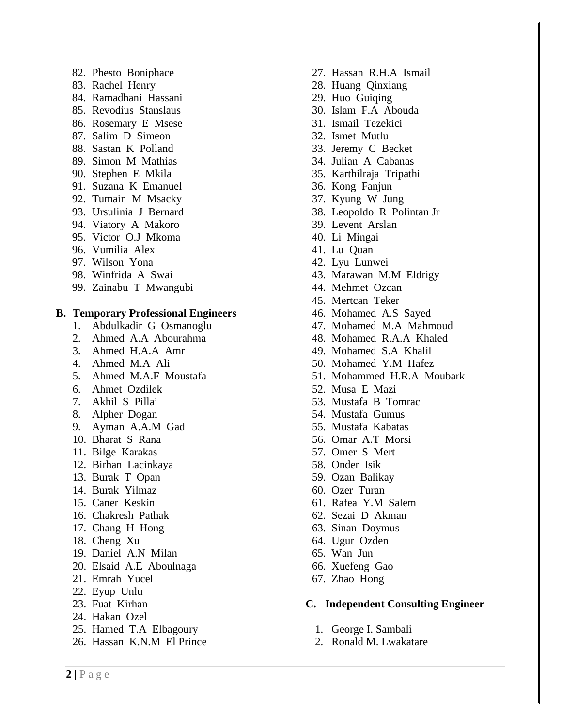- 82. Phesto Boniphace
- 83. Rachel Henry
- 84. Ramadhani Hassani
- 85. Revodius Stanslaus
- 86. Rosemary E Msese
- 87. Salim D Simeon
- 88. Sastan K Polland
- 89. Simon M Mathias
- 90. Stephen E Mkila
- 91. Suzana K Emanuel
- 92. Tumain M Msacky
- 93. Ursulinia J Bernard
- 94. Viatory A Makoro
- 95. Victor O.J Mkoma
- 96. Vumilia Alex
- 97. Wilson Yona
- 98. Winfrida A Swai
- 99. Zainabu T Mwangubi

#### **B. Temporary Professional Engineers**

- 1. Abdulkadir G Osmanoglu
- 2. Ahmed A.A Abourahma
- 3. Ahmed H.A.A Amr
- 4. Ahmed M.A Ali
- 5. Ahmed M.A.F Moustafa
- 6. Ahmet Ozdilek
- 7. Akhil S Pillai
- 8. Alpher Dogan
- 9. Ayman A.A.M Gad
- 10. Bharat S Rana
- 11. Bilge Karakas
- 12. Birhan Lacinkaya
- 13. Burak T Opan
- 14. Burak Yilmaz
- 15. Caner Keskin
- 16. Chakresh Pathak
- 17. Chang H Hong
- 18. Cheng Xu
- 19. Daniel A.N Milan
- 20. Elsaid A.E Aboulnaga
- 21. Emrah Yucel
- 22. Eyup Unlu
- 23. Fuat Kirhan
- 24. Hakan Ozel
- 25. Hamed T.A Elbagoury
- 26. Hassan K.N.M El Prince
- 27. Hassan R.H.A Ismail
- 28. Huang Qinxiang
- 29. Huo Guiqing
- 30. Islam F.A Abouda
- 31. Ismail Tezekici
- 32. Ismet Mutlu
- 33. Jeremy C Becket
- 34. Julian A Cabanas
- 35. Karthilraja Tripathi
- 36. Kong Fanjun
- 37. Kyung W Jung
- 38. Leopoldo R Polintan Jr
- 39. Levent Arslan
- 40. Li Mingai
- 41. Lu Quan
- 42. Lyu Lunwei
- 43. Marawan M.M Eldrigy
- 44. Mehmet Ozcan
- 45. Mertcan Teker
- 46. Mohamed A.S Sayed
- 47. Mohamed M.A Mahmoud
- 48. Mohamed R.A.A Khaled
- 49. Mohamed S.A Khalil
- 50. Mohamed Y.M Hafez
- 51. Mohammed H.R.A Moubark
- 52. Musa E Mazi
- 53. Mustafa B Tomrac
- 54. Mustafa Gumus
- 55. Mustafa Kabatas
- 56. Omar A.T Morsi
- 57. Omer S Mert
- 58. Onder Isik
- 59. Ozan Balikay
- 60. Ozer Turan
- 61. Rafea Y.M Salem
- 62. Sezai D Akman
- 63. Sinan Doymus
- 64. Ugur Ozden
- 65. Wan Jun
- 66. Xuefeng Gao
- 67. Zhao Hong

#### **C. Independent Consulting Engineer**

- 1. George I. Sambali
- 2. Ronald M. Lwakatare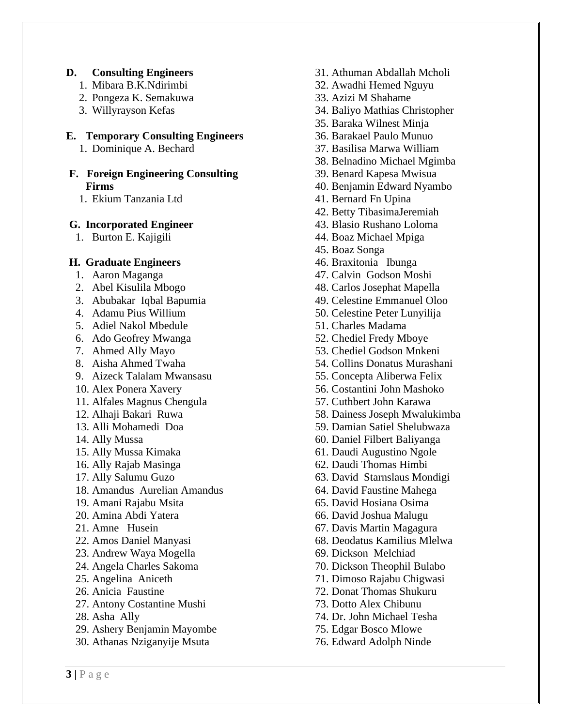# **D. Consulting Engineers**

- 1. Mibara B.K.Ndirimbi
- 2. Pongeza K. Semakuwa
- 3. Willyrayson Kefas

# **E. Temporary Consulting Engineers**

1. Dominique A. Bechard

#### **F. Foreign Engineering Consulting Firms**

1. Ekium Tanzania Ltd

# **G. Incorporated Engineer**

1. Burton E. Kajigili

### **H. Graduate Engineers**

- 1. Aaron Maganga
- 2. Abel Kisulila Mbogo
- 3. Abubakar Iqbal Bapumia
- 4. Adamu Pius Willium
- 5. Adiel Nakol Mbedule
- 6. Ado Geofrey Mwanga
- 7. Ahmed Ally Mayo
- 8. Aisha Ahmed Twaha
- 9. Aizeck Talalam Mwansasu
- 10. Alex Ponera Xavery
- 11. Alfales Magnus Chengula
- 12. Alhaji Bakari Ruwa
- 13. Alli Mohamedi Doa
- 14. Ally Mussa
- 15. Ally Mussa Kimaka
- 16. Ally Rajab Masinga
- 17. Ally Salumu Guzo
- 18. Amandus Aurelian Amandus
- 19. Amani Rajabu Msita
- 20. Amina Abdi Yatera
- 21. Amne Husein
- 22. Amos Daniel Manyasi
- 23. Andrew Waya Mogella
- 24. Angela Charles Sakoma
- 25. Angelina Aniceth
- 26. Anicia Faustine
- 27. Antony Costantine Mushi
- 28. Asha Ally
- 29. Ashery Benjamin Mayombe
- 30. Athanas Nziganyije Msuta
- 31. Athuman Abdallah Mcholi
- 32. Awadhi Hemed Nguyu
- 33. Azizi M Shahame
- 34. Baliyo Mathias Christopher
- 35. Baraka Wilnest Minja
- 36. Barakael Paulo Munuo
- 37. Basilisa Marwa William
- 38. Belnadino Michael Mgimba
- 39. Benard Kapesa Mwisua
- 40. Benjamin Edward Nyambo
- 41. Bernard Fn Upina
- 42. Betty TibasimaJeremiah
- 43. Blasio Rushano Loloma
- 44. Boaz Michael Mpiga
- 45. Boaz Songa
- 46. Braxitonia Ibunga
- 47. Calvin Godson Moshi
- 48. Carlos Josephat Mapella
- 49. Celestine Emmanuel Oloo
- 50. Celestine Peter Lunyilija
- 51. Charles Madama
- 52. Chediel Fredy Mboye
- 53. Chediel Godson Mnkeni
- 54. Collins Donatus Murashani
- 55. Concepta Aliberwa Felix
- 56. Costantini John Mashoko
- 57. Cuthbert John Karawa
- 58. Dainess Joseph Mwalukimba
- 59. Damian Satiel Shelubwaza
- 60. Daniel Filbert Baliyanga
- 61. Daudi Augustino Ngole
- 62. Daudi Thomas Himbi
- 63. David Starnslaus Mondigi
- 64. David Faustine Mahega
- 65. David Hosiana Osima
- 66. David Joshua Malugu
- 67. Davis Martin Magagura
- 68. Deodatus Kamilius Mlelwa
- 69. Dickson Melchiad
- 70. Dickson Theophil Bulabo
- 71. Dimoso Rajabu Chigwasi
- 72. Donat Thomas Shukuru
- 73. Dotto Alex Chibunu
- 74. Dr. John Michael Tesha
- 75. Edgar Bosco Mlowe
- 76. Edward Adolph Ninde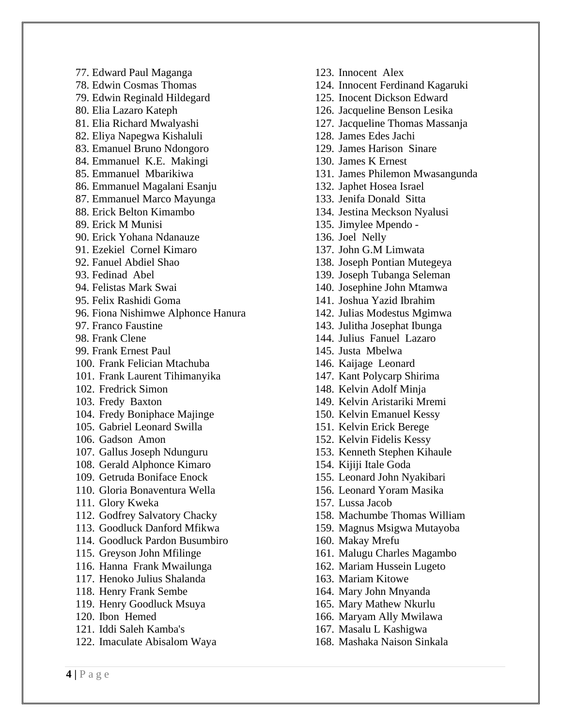77. Edward Paul Maganga 78. Edwin Cosmas Thomas 79. Edwin Reginald Hildegard 80. Elia Lazaro Kateph 81. Elia Richard Mwalyashi 82. Eliya Napegwa Kishaluli 83. Emanuel Bruno Ndongoro 84. Emmanuel K.E. Makingi 85. Emmanuel Mbarikiwa 86. Emmanuel Magalani Esanju 87. Emmanuel Marco Mayunga 88. Erick Belton Kimambo 89. Erick M Munisi 90. Erick Yohana Ndanauze 91. Ezekiel Cornel Kimaro 92. Fanuel Abdiel Shao 93. Fedinad Abel 94. Felistas Mark Swai 95. Felix Rashidi Goma 96. Fiona Nishimwe Alphonce Hanura 97. Franco Faustine 98. Frank Clene 99. Frank Ernest Paul 100. Frank Felician Mtachuba 101. Frank Laurent Tihimanyika 102. Fredrick Simon 103. Fredy Baxton 104. Fredy Boniphace Majinge 105. Gabriel Leonard Swilla 106. Gadson Amon 107. Gallus Joseph Ndunguru 108. Gerald Alphonce Kimaro 109. Getruda Boniface Enock 110. Gloria Bonaventura Wella 111. Glory Kweka 112. Godfrey Salvatory Chacky 113. Goodluck Danford Mfikwa 114. Goodluck Pardon Busumbiro 115. Greyson John Mfilinge 116. Hanna Frank Mwailunga 117. Henoko Julius Shalanda 118. Henry Frank Sembe 119. Henry Goodluck Msuya 120. Ibon Hemed 121. Iddi Saleh Kamba's 122. Imaculate Abisalom Waya

123. Innocent Alex 124. Innocent Ferdinand Kagaruki 125. Inocent Dickson Edward 126. Jacqueline Benson Lesika 127. Jacqueline Thomas Massanja 128. James Edes Jachi 129. James Harison Sinare 130. James K Ernest 131. James Philemon Mwasangunda 132. Japhet Hosea Israel 133. Jenifa Donald Sitta 134. Jestina Meckson Nyalusi 135. Jimylee Mpendo - 136. Joel Nelly 137. John G.M Limwata 138. Joseph Pontian Mutegeya 139. Joseph Tubanga Seleman 140. Josephine John Mtamwa 141. Joshua Yazid Ibrahim 142. Julias Modestus Mgimwa 143. Julitha Josephat Ibunga 144. Julius Fanuel Lazaro 145. Justa Mbelwa 146. Kaijage Leonard 147. Kant Polycarp Shirima 148. Kelvin Adolf Minja 149. Kelvin Aristariki Mremi 150. Kelvin Emanuel Kessy 151. Kelvin Erick Berege 152. Kelvin Fidelis Kessy 153. Kenneth Stephen Kihaule 154. Kijiji Itale Goda 155. Leonard John Nyakibari 156. Leonard Yoram Masika 157. Lussa Jacob 158. Machumbe Thomas William 159. Magnus Msigwa Mutayoba 160. Makay Mrefu 161. Malugu Charles Magambo 162. Mariam Hussein Lugeto 163. Mariam Kitowe 164. Mary John Mnyanda 165. Mary Mathew Nkurlu 166. Maryam Ally Mwilawa 167. Masalu L Kashigwa 168. Mashaka Naison Sinkala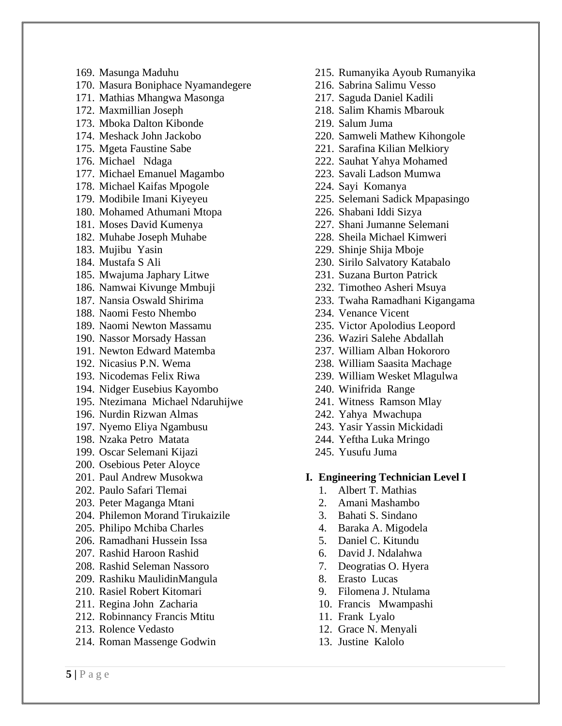169. Masunga Maduhu

- 170. Masura Boniphace Nyamandegere
- 171. Mathias Mhangwa Masonga
- 172. Maxmillian Joseph
- 173. Mboka Dalton Kibonde
- 174. Meshack John Jackobo
- 175. Mgeta Faustine Sabe
- 176. Michael Ndaga
- 177. Michael Emanuel Magambo
- 178. Michael Kaifas Mpogole
- 179. Modibile Imani Kiyeyeu
- 180. Mohamed Athumani Mtopa
- 181. Moses David Kumenya
- 182. Muhabe Joseph Muhabe
- 183. Mujibu Yasin
- 184. Mustafa S Ali
- 185. Mwajuma Japhary Litwe
- 186. Namwai Kivunge Mmbuji
- 187. Nansia Oswald Shirima
- 188. Naomi Festo Nhembo
- 189. Naomi Newton Massamu
- 190. Nassor Morsady Hassan
- 191. Newton Edward Matemba
- 192. Nicasius P.N. Wema
- 193. Nicodemas Felix Riwa
- 194. Nidger Eusebius Kayombo
- 195. Ntezimana Michael Ndaruhijwe
- 196. Nurdin Rizwan Almas
- 197. Nyemo Eliya Ngambusu
- 198. Nzaka Petro Matata
- 199. Oscar Selemani Kijazi
- 200. Osebious Peter Aloyce
- 201. Paul Andrew Musokwa
- 202. Paulo Safari Tlemai
- 203. Peter Maganga Mtani
- 204. Philemon Morand Tirukaizile
- 205. Philipo Mchiba Charles
- 206. Ramadhani Hussein Issa
- 207. Rashid Haroon Rashid
- 208. Rashid Seleman Nassoro
- 209. Rashiku MaulidinMangula
- 210. Rasiel Robert Kitomari
- 211. Regina John Zacharia
- 212. Robinnancy Francis Mtitu
- 213. Rolence Vedasto
- 214. Roman Massenge Godwin
- 215. Rumanyika Ayoub Rumanyika
- 216. Sabrina Salimu Vesso
- 217. Saguda Daniel Kadili
- 218. Salim Khamis Mbarouk
- 219. Salum Juma
- 220. Samweli Mathew Kihongole
- 221. Sarafina Kilian Melkiory
- 222. Sauhat Yahya Mohamed
- 223. Savali Ladson Mumwa
- 224. Sayi Komanya
- 225. Selemani Sadick Mpapasingo
- 226. Shabani Iddi Sizya
- 227. Shani Jumanne Selemani
- 228. Sheila Michael Kimweri
- 229. Shinje Shija Mboje
- 230. Sirilo Salvatory Katabalo
- 231. Suzana Burton Patrick
- 232. Timotheo Asheri Msuya
- 233. Twaha Ramadhani Kigangama
- 234. Venance Vicent
- 235. Victor Apolodius Leopord
- 236. Waziri Salehe Abdallah
- 237. William Alban Hokororo
- 238. William Saasita Machage
- 239. William Wesket Mlagulwa
- 240. Winifrida Range
- 241. Witness Ramson Mlay
- 242. Yahya Mwachupa
- 243. Yasir Yassin Mickidadi
- 244. Yeftha Luka Mringo
- 245. Yusufu Juma

#### **I. Engineering Technician Level I**

- 1. Albert T. Mathias
- 2. Amani Mashambo
- 3. Bahati S. Sindano
- 4. Baraka A. Migodela
- 5. Daniel C. Kitundu
- 6. David J. Ndalahwa
- 7. Deogratias O. Hyera
- 8. Erasto Lucas
- 9. Filomena J. Ntulama
- 10. Francis Mwampashi
- 11. Frank Lyalo
- 12. Grace N. Menyali
- 13. Justine Kalolo